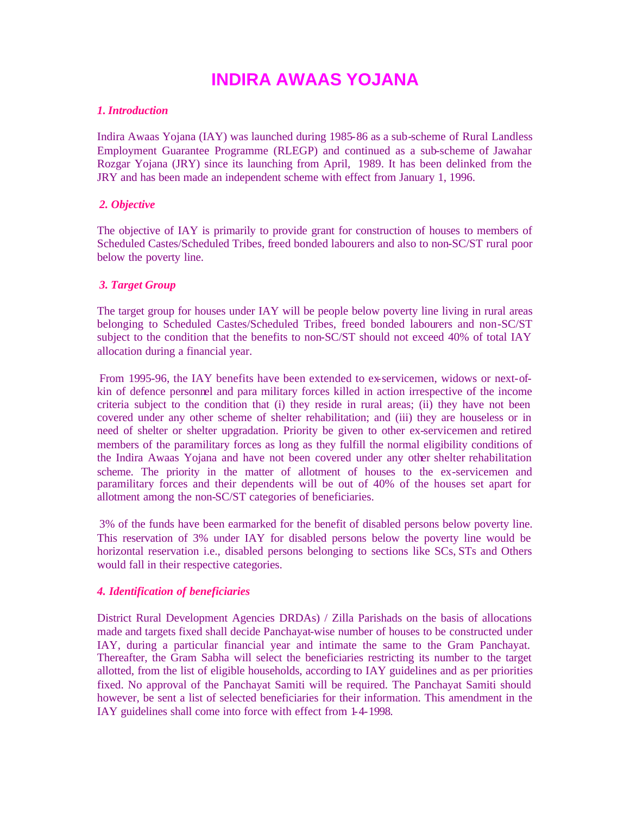# **INDIRA AWAAS YOJANA**

# *1. Introduction*

Indira Awaas Yojana (IAY) was launched during 1985-86 as a sub-scheme of Rural Landless Employment Guarantee Programme (RLEGP) and continued as a sub-scheme of Jawahar Rozgar Yojana (JRY) since its launching from April, 1989. It has been delinked from the JRY and has been made an independent scheme with effect from January 1, 1996.

# *2. Objective*

The objective of IAY is primarily to provide grant for construction of houses to members of Scheduled Castes/Scheduled Tribes, freed bonded labourers and also to non-SC/ST rural poor below the poverty line.

# *3. Target Group*

The target group for houses under IAY will be people below poverty line living in rural areas belonging to Scheduled Castes/Scheduled Tribes, freed bonded labourers and non-SC/ST subject to the condition that the benefits to non-SC/ST should not exceed 40% of total IAY allocation during a financial year.

From 1995-96, the IAY benefits have been extended to ex-servicemen, widows or next-ofkin of defence personnel and para military forces killed in action irrespective of the income criteria subject to the condition that (i) they reside in rural areas; (ii) they have not been covered under any other scheme of shelter rehabilitation; and (iii) they are houseless or in need of shelter or shelter upgradation. Priority be given to other ex-servicemen and retired members of the paramilitary forces as long as they fulfill the normal eligibility conditions of the Indira Awaas Yojana and have not been covered under any other shelter rehabilitation scheme. The priority in the matter of allotment of houses to the ex-servicemen and paramilitary forces and their dependents will be out of 40% of the houses set apart for allotment among the non-SC/ST categories of beneficiaries.

3% of the funds have been earmarked for the benefit of disabled persons below poverty line. This reservation of 3% under IAY for disabled persons below the poverty line would be horizontal reservation i.e., disabled persons belonging to sections like SCs, STs and Others would fall in their respective categories.

# *4. Identification of beneficiaries*

District Rural Development Agencies DRDAs) / Zilla Parishads on the basis of allocations made and targets fixed shall decide Panchayat-wise number of houses to be constructed under IAY, during a particular financial year and intimate the same to the Gram Panchayat. Thereafter, the Gram Sabha will select the beneficiaries restricting its number to the target allotted, from the list of eligible households, according to IAY guidelines and as per priorities fixed. No approval of the Panchayat Samiti will be required. The Panchayat Samiti should however, be sent a list of selected beneficiaries for their information. This amendment in the IAY guidelines shall come into force with effect from 1-4-1998.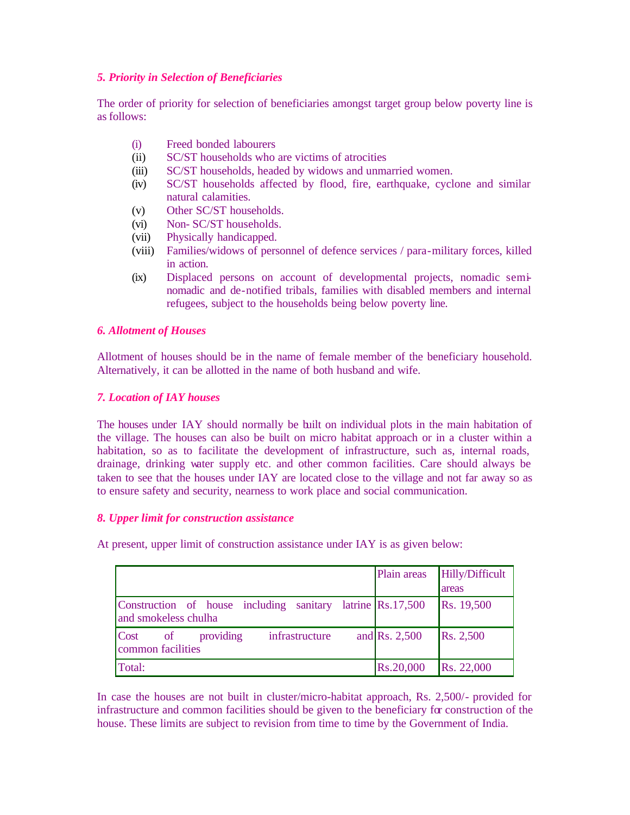# *5. Priority in Selection of Beneficiaries*

The order of priority for selection of beneficiaries amongst target group below poverty line is as follows:

- (i) Freed bonded labourers
- (ii) SC/ST households who are victims of atrocities
- (iii) SC/ST households, headed by widows and unmarried women.
- (iv) SC/ST households affected by flood, fire, earthquake, cyclone and similar natural calamities.
- (v) Other SC/ST households.
- (vi) Non- SC/ST households.
- (vii) Physically handicapped.
- (viii) Families/widows of personnel of defence services / para-military forces, killed in action.
- (ix) Displaced persons on account of developmental projects, nomadic seminomadic and de-notified tribals, families with disabled members and internal refugees, subject to the households being below poverty line.

# *6. Allotment of Houses*

Allotment of houses should be in the name of female member of the beneficiary household. Alternatively, it can be allotted in the name of both husband and wife.

# *7. Location of IAY houses*

The houses under IAY should normally be built on individual plots in the main habitation of the village. The houses can also be built on micro habitat approach or in a cluster within a habitation, so as to facilitate the development of infrastructure, such as, internal roads, drainage, drinking water supply etc. and other common facilities. Care should always be taken to see that the houses under IAY are located close to the village and not far away so as to ensure safety and security, nearness to work place and social communication.

# *8. Upper limit for construction assistance*

At present, upper limit of construction assistance under IAY is as given below:

|                                                                                    | Plain areas     | Hilly/Difficult<br>areas |
|------------------------------------------------------------------------------------|-----------------|--------------------------|
| Construction of house including sanitary latrine Rs.17,500<br>and smokeless chulha |                 | Rs. 19,500               |
| Cost of<br>infrastructure<br>providing<br>common facilities                        | and Rs. $2,500$ | <b>Rs. 2,500</b>         |
| Total:                                                                             | Rs.20,000       | Rs. 22,000               |

In case the houses are not built in cluster/micro-habitat approach, Rs. 2,500/- provided for infrastructure and common facilities should be given to the beneficiary for construction of the house. These limits are subject to revision from time to time by the Government of India.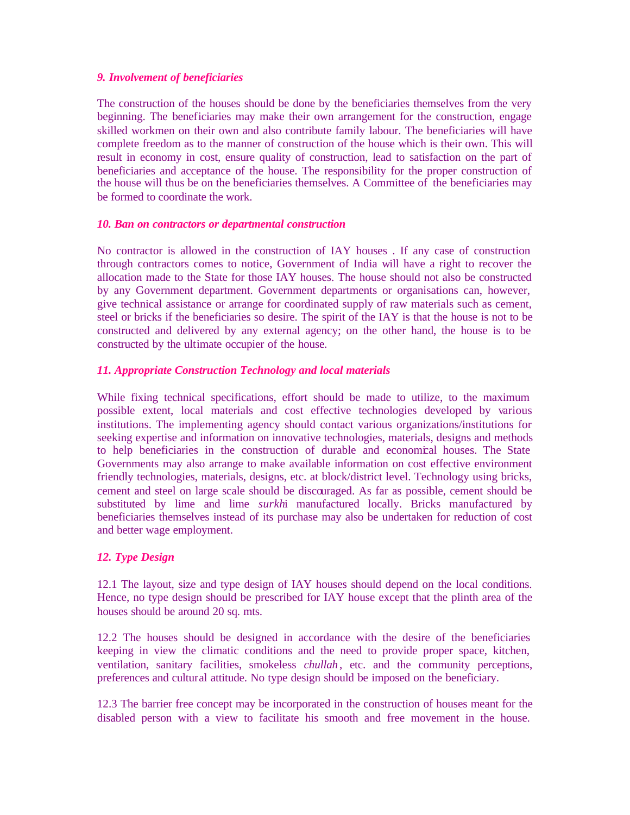# *9. Involvement of beneficiaries*

The construction of the houses should be done by the beneficiaries themselves from the very beginning. The beneficiaries may make their own arrangement for the construction, engage skilled workmen on their own and also contribute family labour. The beneficiaries will have complete freedom as to the manner of construction of the house which is their own. This will result in economy in cost, ensure quality of construction, lead to satisfaction on the part of beneficiaries and acceptance of the house. The responsibility for the proper construction of the house will thus be on the beneficiaries themselves. A Committee of the beneficiaries may be formed to coordinate the work.

# *10. Ban on contractors or departmental construction*

No contractor is allowed in the construction of IAY houses . If any case of construction through contractors comes to notice, Government of India will have a right to recover the allocation made to the State for those IAY houses. The house should not also be constructed by any Government department. Government departments or organisations can, however, give technical assistance or arrange for coordinated supply of raw materials such as cement, steel or bricks if the beneficiaries so desire. The spirit of the IAY is that the house is not to be constructed and delivered by any external agency; on the other hand, the house is to be constructed by the ultimate occupier of the house.

# *11. Appropriate Construction Technology and local materials*

While fixing technical specifications, effort should be made to utilize, to the maximum possible extent, local materials and cost effective technologies developed by various institutions. The implementing agency should contact various organizations/institutions for seeking expertise and information on innovative technologies, materials, designs and methods to help beneficiaries in the construction of durable and economical houses. The State Governments may also arrange to make available information on cost effective environment friendly technologies, materials, designs, etc. at block/district level. Technology using bricks, cement and steel on large scale should be discouraged. As far as possible, cement should be substituted by lime and lime *surkh*i manufactured locally. Bricks manufactured by beneficiaries themselves instead of its purchase may also be undertaken for reduction of cost and better wage employment.

# *12. Type Design*

12.1 The layout, size and type design of IAY houses should depend on the local conditions. Hence, no type design should be prescribed for IAY house except that the plinth area of the houses should be around 20 sq. mts.

12.2 The houses should be designed in accordance with the desire of the beneficiaries keeping in view the climatic conditions and the need to provide proper space, kitchen, ventilation, sanitary facilities, smokeless *chullah*, etc. and the community perceptions, preferences and cultural attitude. No type design should be imposed on the beneficiary.

12.3 The barrier free concept may be incorporated in the construction of houses meant for the disabled person with a view to facilitate his smooth and free movement in the house.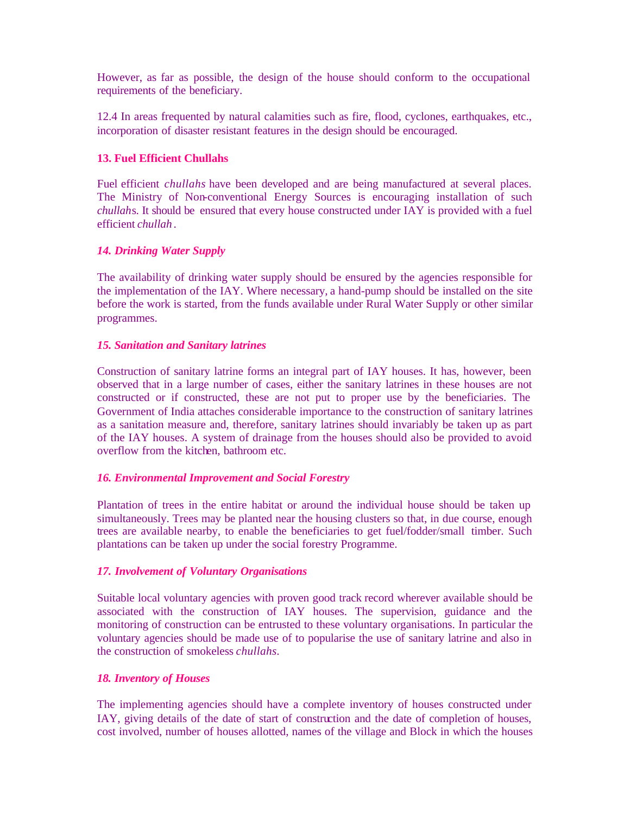However, as far as possible, the design of the house should conform to the occupational requirements of the beneficiary.

12.4 In areas frequented by natural calamities such as fire, flood, cyclones, earthquakes, etc., incorporation of disaster resistant features in the design should be encouraged.

# **13. Fuel Efficient Chullahs**

Fuel efficient *chullahs* have been developed and are being manufactured at several places. The Ministry of Non-conventional Energy Sources is encouraging installation of such *chullah*s. It should be ensured that every house constructed under IAY is provided with a fuel efficient *chullah* .

# *14. Drinking Water Supply*

The availability of drinking water supply should be ensured by the agencies responsible for the implementation of the IAY. Where necessary, a hand-pump should be installed on the site before the work is started, from the funds available under Rural Water Supply or other similar programmes.

# *15. Sanitation and Sanitary latrines*

Construction of sanitary latrine forms an integral part of IAY houses. It has, however, been observed that in a large number of cases, either the sanitary latrines in these houses are not constructed or if constructed, these are not put to proper use by the beneficiaries. The Government of India attaches considerable importance to the construction of sanitary latrines as a sanitation measure and, therefore, sanitary latrines should invariably be taken up as part of the IAY houses. A system of drainage from the houses should also be provided to avoid overflow from the kitchen, bathroom etc.

# *16. Environmental Improvement and Social Forestry*

Plantation of trees in the entire habitat or around the individual house should be taken up simultaneously. Trees may be planted near the housing clusters so that, in due course, enough trees are available nearby, to enable the beneficiaries to get fuel/fodder/small timber. Such plantations can be taken up under the social forestry Programme.

# *17. Involvement of Voluntary Organisations*

Suitable local voluntary agencies with proven good track record wherever available should be associated with the construction of IAY houses. The supervision, guidance and the monitoring of construction can be entrusted to these voluntary organisations. In particular the voluntary agencies should be made use of to popularise the use of sanitary latrine and also in the construction of smokeless *chullahs.*

# *18. Inventory of Houses*

The implementing agencies should have a complete inventory of houses constructed under IAY, giving details of the date of start of construction and the date of completion of houses, cost involved, number of houses allotted, names of the village and Block in which the houses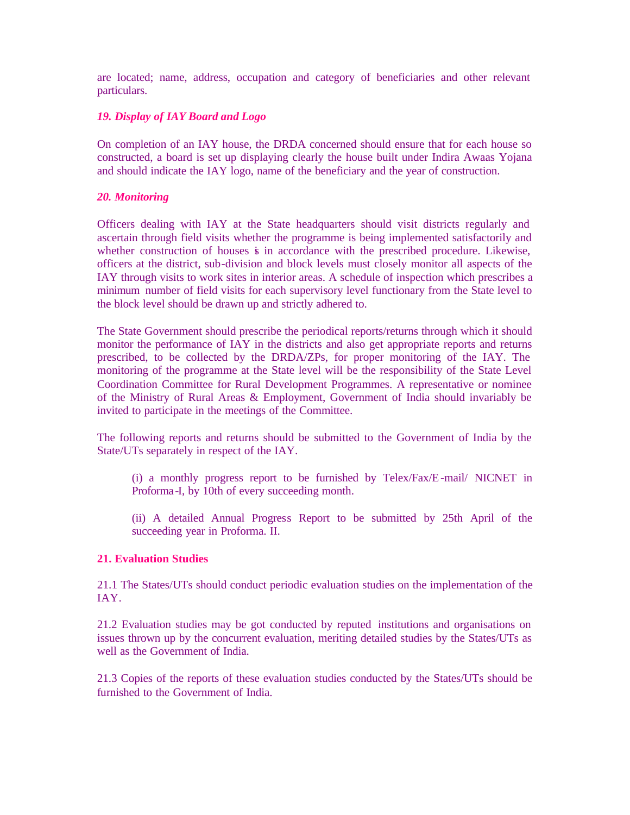are located; name, address, occupation and category of beneficiaries and other relevant particulars.

## *19. Display of IAY Board and Logo*

On completion of an IAY house, the DRDA concerned should ensure that for each house so constructed, a board is set up displaying clearly the house built under Indira Awaas Yojana and should indicate the IAY logo, name of the beneficiary and the year of construction.

#### *20. Monitoring*

Officers dealing with IAY at the State headquarters should visit districts regularly and ascertain through field visits whether the programme is being implemented satisfactorily and whether construction of houses is in accordance with the prescribed procedure. Likewise, officers at the district, sub-division and block levels must closely monitor all aspects of the IAY through visits to work sites in interior areas. A schedule of inspection which prescribes a minimum number of field visits for each supervisory level functionary from the State level to the block level should be drawn up and strictly adhered to.

The State Government should prescribe the periodical reports/returns through which it should monitor the performance of IAY in the districts and also get appropriate reports and returns prescribed, to be collected by the DRDA/ZPs, for proper monitoring of the IAY. The monitoring of the programme at the State level will be the responsibility of the State Level Coordination Committee for Rural Development Programmes. A representative or nominee of the Ministry of Rural Areas & Employment, Government of India should invariably be invited to participate in the meetings of the Committee.

The following reports and returns should be submitted to the Government of India by the State/UTs separately in respect of the IAY.

(i) a monthly progress report to be furnished by Telex/Fax/E-mail/ NICNET in Proforma -I, by 10th of every succeeding month.

(ii) A detailed Annual Progress Report to be submitted by 25th April of the succeeding year in Proforma. II.

#### **21. Evaluation Studies**

21.1 The States/UTs should conduct periodic evaluation studies on the implementation of the IAY.

21.2 Evaluation studies may be got conducted by reputed institutions and organisations on issues thrown up by the concurrent evaluation, meriting detailed studies by the States/UTs as well as the Government of India.

21.3 Copies of the reports of these evaluation studies conducted by the States/UTs should be furnished to the Government of India.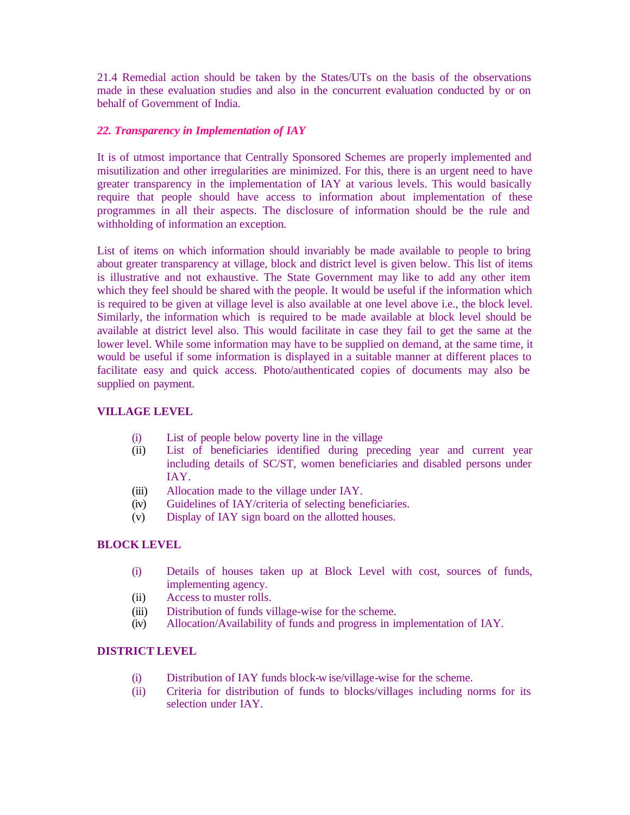21.4 Remedial action should be taken by the States/UTs on the basis of the observations made in these evaluation studies and also in the concurrent evaluation conducted by or on behalf of Government of India.

## *22. Transparency in Implementation of IAY*

It is of utmost importance that Centrally Sponsored Schemes are properly implemented and misutilization and other irregularities are minimized. For this, there is an urgent need to have greater transparency in the implementation of IAY at various levels. This would basically require that people should have access to information about implementation of these programmes in all their aspects. The disclosure of information should be the rule and withholding of information an exception.

List of items on which information should invariably be made available to people to bring about greater transparency at village, block and district level is given below. This list of items is illustrative and not exhaustive. The State Government may like to add any other item which they feel should be shared with the people. It would be useful if the information which is required to be given at village level is also available at one level above i.e., the block level. Similarly, the information which is required to be made available at block level should be available at district level also. This would facilitate in case they fail to get the same at the lower level. While some information may have to be supplied on demand, at the same time, it would be useful if some information is displayed in a suitable manner at different places to facilitate easy and quick access. Photo/authenticated copies of documents may also be supplied on payment.

## **VILLAGE LEVEL**

- (i) List of people below poverty line in the village
- (ii) List of beneficiaries identified during preceding year and current year including details of SC/ST, women beneficiaries and disabled persons under IAY.
- (iii) Allocation made to the village under IAY.
- (iv) Guidelines of IAY/criteria of selecting beneficiaries.
- (v) Display of IAY sign board on the allotted houses.

## **BLOCK LEVEL**

- (i) Details of houses taken up at Block Level with cost, sources of funds, implementing agency.
- (ii) Access to muster rolls.
- (iii) Distribution of funds village-wise for the scheme.
- (iv) Allocation/Availability of funds and progress in implementation of IAY.

## **DISTRICT LEVEL**

- (i) Distribution of IAY funds block-w ise/village-wise for the scheme.
- (ii) Criteria for distribution of funds to blocks/villages including norms for its selection under IAY.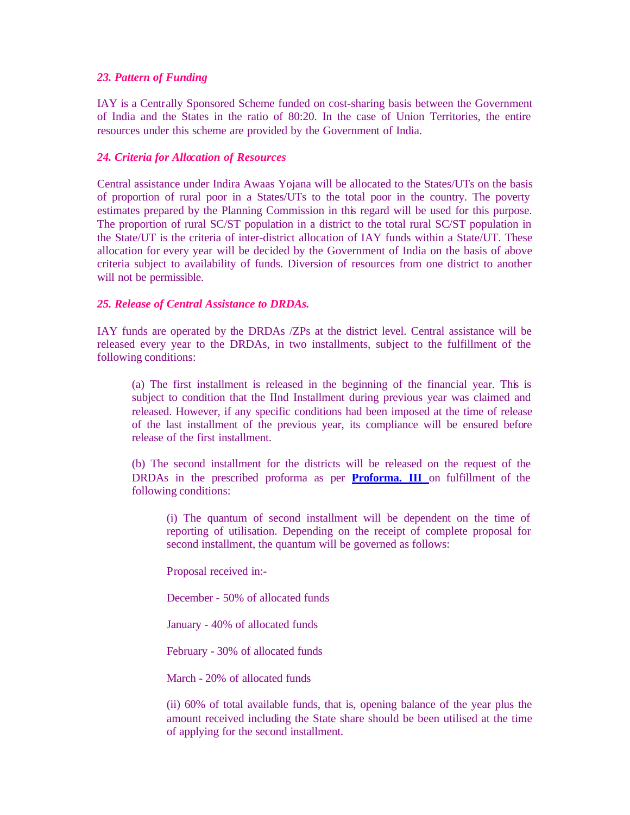## *23. Pattern of Funding*

IAY is a Centrally Sponsored Scheme funded on cost-sharing basis between the Government of India and the States in the ratio of 80:20. In the case of Union Territories, the entire resources under this scheme are provided by the Government of India.

#### *24. Criteria for Allocation of Resources*

Central assistance under Indira Awaas Yojana will be allocated to the States/UTs on the basis of proportion of rural poor in a States/UTs to the total poor in the country. The poverty estimates prepared by the Planning Commission in this regard will be used for this purpose. The proportion of rural SC/ST population in a district to the total rural SC/ST population in the State/UT is the criteria of inter-district allocation of IAY funds within a State/UT. These allocation for every year will be decided by the Government of India on the basis of above criteria subject to availability of funds. Diversion of resources from one district to another will not be permissible.

## *25. Release of Central Assistance to DRDAs.*

IAY funds are operated by the DRDAs /ZPs at the district level. Central assistance will be released every year to the DRDAs, in two installments, subject to the fulfillment of the following conditions:

(a) The first installment is released in the beginning of the financial year. This is subject to condition that the IInd Installment during previous year was claimed and released. However, if any specific conditions had been imposed at the time of release of the last installment of the previous year, its compliance will be ensured before release of the first installment.

(b) The second installment for the districts will be released on the request of the DRDAs in the prescribed proforma as per **Proforma. III** on fulfillment of the following conditions:

(i) The quantum of second installment will be dependent on the time of reporting of utilisation. Depending on the receipt of complete proposal for second installment, the quantum will be governed as follows:

Proposal received in:-

December - 50% of allocated funds

January - 40% of allocated funds

February - 30% of allocated funds

March - 20% of allocated funds

(ii) 60% of total available funds, that is, opening balance of the year plus the amount received including the State share should be been utilised at the time of applying for the second installment.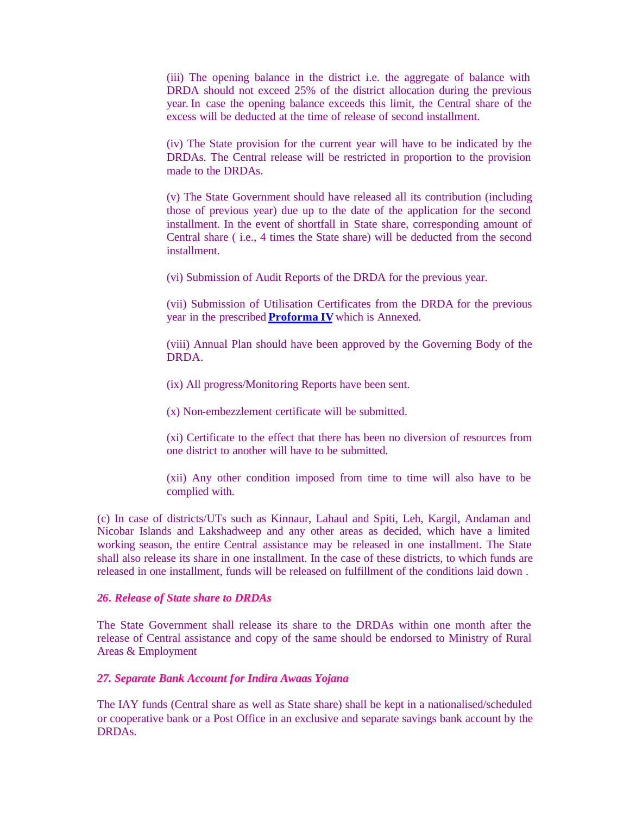(iii) The opening balance in the district i.e. the aggregate of balance with DRDA should not exceed 25% of the district allocation during the previous year. In case the opening balance exceeds this limit, the Central share of the excess will be deducted at the time of release of second installment.

(iv) The State provision for the current year will have to be indicated by the DRDAs. The Central release will be restricted in proportion to the provision made to the DRDAs.

(v) The State Government should have released all its contribution (including those of previous year) due up to the date of the application for the second installment. In the event of shortfall in State share, corresponding amount of Central share ( i.e., 4 times the State share) will be deducted from the second installment.

(vi) Submission of Audit Reports of the DRDA for the previous year.

(vii) Submission of Utilisation Certificates from the DRDA for the previous year in the prescribed **Proforma IV** which is Annexed.

(viii) Annual Plan should have been approved by the Governing Body of the DRDA.

(ix) All progress/Monitoring Reports have been sent.

(x) Non-embezzlement certificate will be submitted.

(xi) Certificate to the effect that there has been no diversion of resources from one district to another will have to be submitted.

(xii) Any other condition imposed from time to time will also have to be complied with.

(c) In case of districts/UTs such as Kinnaur, Lahaul and Spiti, Leh, Kargil, Andaman and Nicobar Islands and Lakshadweep and any other areas as decided, which have a limited working season, the entire Central assistance may be released in one installment. The State shall also release its share in one installment. In the case of these districts, to which funds are released in one installment, funds will be released on fulfillment of the conditions laid down .

#### *26. Release of State share to DRDAs*

The State Government shall release its share to the DRDAs within one month after the release of Central assistance and copy of the same should be endorsed to Ministry of Rural Areas & Employment

#### *27. Separate Bank Account for Indira Awaas Yojana*

The IAY funds (Central share as well as State share) shall be kept in a nationalised/scheduled or cooperative bank or a Post Office in an exclusive and separate savings bank account by the DRDAs.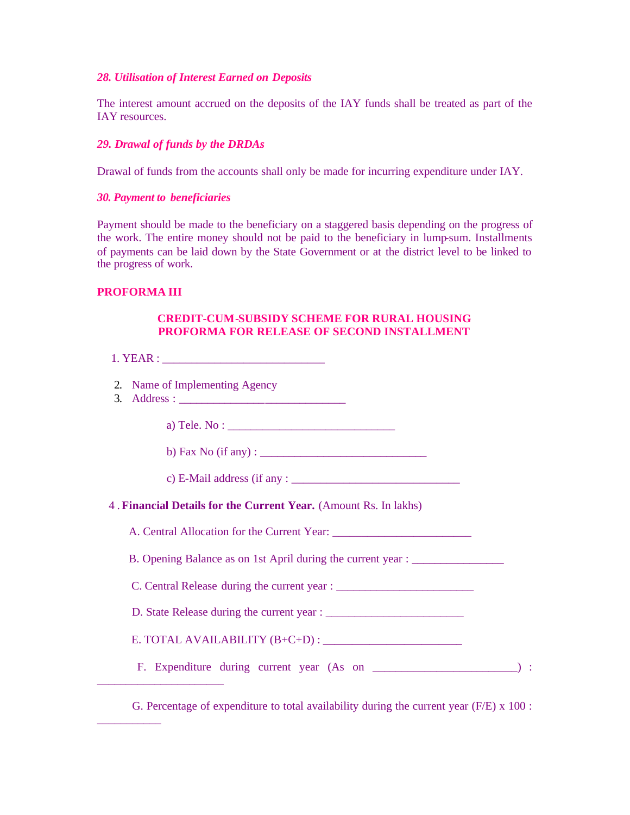## *28. Utilisation of Interest Earned on Deposits*

The interest amount accrued on the deposits of the IAY funds shall be treated as part of the IAY resources.

## *29. Drawal of funds by the DRDAs*

Drawal of funds from the accounts shall only be made for incurring expenditure under IAY.

#### *30. Payment to beneficiaries*

Payment should be made to the beneficiary on a staggered basis depending on the progress of the work. The entire money should not be paid to the beneficiary in lump-sum. Installments of payments can be laid down by the State Government or at the district level to be linked to the progress of work.

## **PROFORMA III**

# **CREDIT-CUM-SUBSIDY SCHEME FOR RURAL HOUSING PROFORMA FOR RELEASE OF SECOND INSTALLMENT**

1. YEAR : \_\_\_\_\_\_\_\_\_\_\_\_\_\_\_\_\_\_\_\_\_\_\_\_\_\_\_\_

- 2. Name of Implementing Agency
- 3. Address :

\_\_\_\_\_\_\_\_\_\_\_\_\_\_\_\_\_\_\_\_\_\_

\_\_\_\_\_\_\_\_\_\_\_

a) Tele.  $No:$ 

b) Fax No (if any) :  $\qquad \qquad$ 

c) E-Mail address (if any : \_\_\_\_\_\_\_\_\_\_\_\_\_\_\_\_\_\_\_\_\_\_\_\_\_\_\_\_\_

#### 4 . **Financial Details for the Current Year.** (Amount Rs. In lakhs)

A. Central Allocation for the Current Year: \_\_\_\_\_\_\_\_\_\_\_\_\_\_\_\_\_\_\_\_\_\_\_\_

B. Opening Balance as on 1st April during the current year : \_\_\_\_\_\_\_\_\_\_\_\_\_\_\_\_\_\_\_

C. Central Release during the current year : \_\_\_\_\_\_\_\_\_\_\_\_\_\_\_\_\_\_\_\_\_\_\_\_

D. State Release during the current year : \_\_\_\_\_\_\_\_\_\_\_\_\_\_\_\_\_\_\_\_\_\_\_\_

E. TOTAL AVAILABILITY (B+C+D) : \_\_\_\_\_\_\_\_\_\_\_\_\_\_\_\_\_\_\_\_\_\_\_\_

F. Expenditure during current year (As on \_\_\_\_\_\_\_\_\_\_\_\_\_\_\_\_\_\_\_\_\_\_\_\_\_) :

G. Percentage of expenditure to total availability during the current year (F/E) x 100 :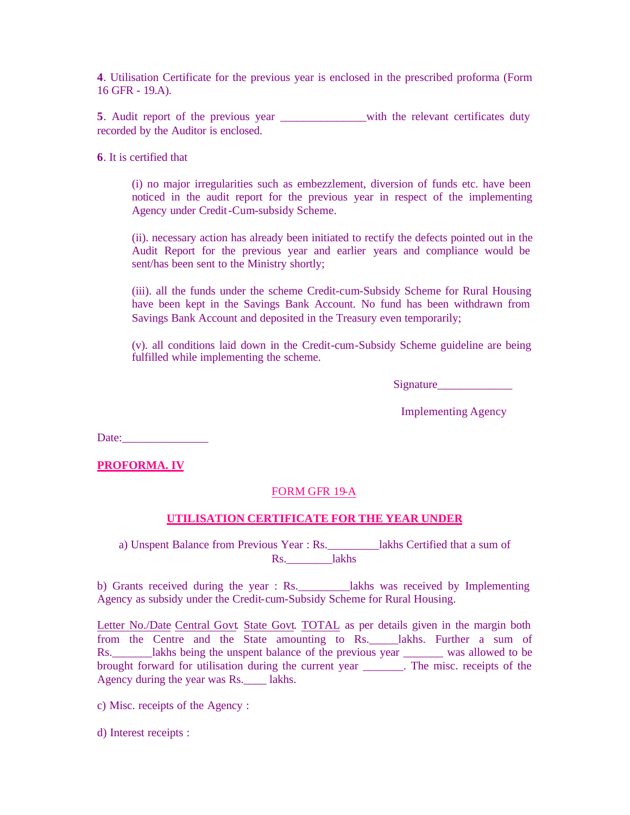**4**. Utilisation Certificate for the previous year is enclosed in the prescribed proforma (Form 16 GFR - 19.A).

**5**. Audit report of the previous year with the relevant certificates duty recorded by the Auditor is enclosed.

**6**. It is certified that

(i) no major irregularities such as embezzlement, diversion of funds etc. have been noticed in the audit report for the previous year in respect of the implementing Agency under Credit-Cum-subsidy Scheme.

(ii). necessary action has already been initiated to rectify the defects pointed out in the Audit Report for the previous year and earlier years and compliance would be sent/has been sent to the Ministry shortly;

(iii). all the funds under the scheme Credit-cum-Subsidy Scheme for Rural Housing have been kept in the Savings Bank Account. No fund has been withdrawn from Savings Bank Account and deposited in the Treasury even temporarily;

(v). all conditions laid down in the Credit-cum-Subsidy Scheme guideline are being fulfilled while implementing the scheme.

Signature\_\_\_\_\_\_\_\_\_\_\_\_\_

Implementing Agency

Date:

**PROFORMA. IV**

#### FORM GFR 19-A

#### **UTILISATION CERTIFICATE FOR THE YEAR UNDER**

a) Unspent Balance from Previous Year : Rs. \_\_\_\_\_\_\_\_\_\_ lakhs Certified that a sum of Rs. lakhs

b) Grants received during the year : Rs.\_\_\_\_\_\_\_\_\_lakhs was received by Implementing Agency as subsidy under the Credit-cum-Subsidy Scheme for Rural Housing.

Letter No./Date Central Govt. State Govt. TOTAL as per details given in the margin both from the Centre and the State amounting to Rs.\_\_\_\_\_lakhs. Further a sum of Rs. a lakhs being the unspent balance of the previous year was allowed to be brought forward for utilisation during the current year \_\_\_\_\_\_\_. The misc. receipts of the Agency during the year was Rs.\_\_\_\_ lakhs.

c) Misc. receipts of the Agency :

d) Interest receipts :